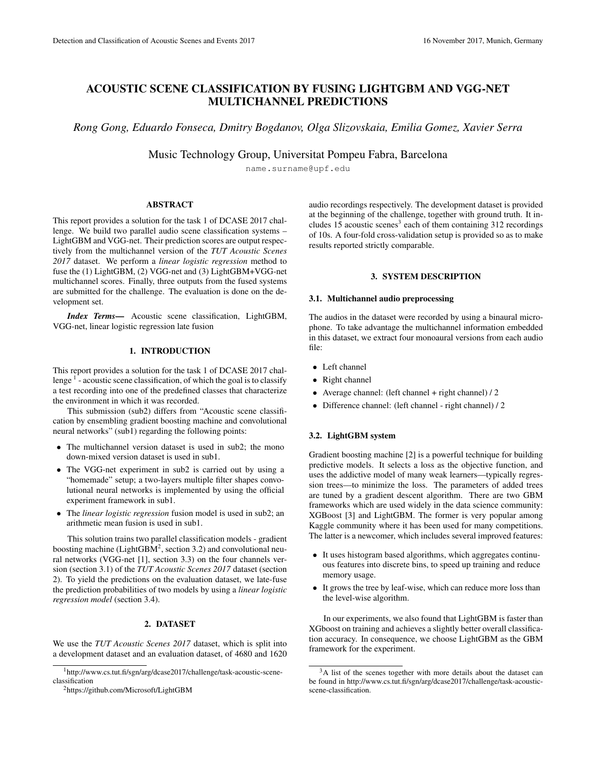# ACOUSTIC SCENE CLASSIFICATION BY FUSING LIGHTGBM AND VGG-NET MULTICHANNEL PREDICTIONS

*Rong Gong, Eduardo Fonseca, Dmitry Bogdanov, Olga Slizovskaia, Emilia Gomez, Xavier Serra*

Music Technology Group, Universitat Pompeu Fabra, Barcelona

name.surname@upf.edu

## ABSTRACT

This report provides a solution for the task 1 of DCASE 2017 challenge. We build two parallel audio scene classification systems – LightGBM and VGG-net. Their prediction scores are output respectively from the multichannel version of the *TUT Acoustic Scenes 2017* dataset. We perform a *linear logistic regression* method to fuse the (1) LightGBM, (2) VGG-net and (3) LightGBM+VGG-net multichannel scores. Finally, three outputs from the fused systems are submitted for the challenge. The evaluation is done on the development set.

*Index Terms*— Acoustic scene classification, LightGBM, VGG-net, linear logistic regression late fusion

# 1. INTRODUCTION

This report provides a solution for the task 1 of DCASE 2017 challenge  $1$  - acoustic scene classification, of which the goal is to classify a test recording into one of the predefined classes that characterize the environment in which it was recorded.

This submission (sub2) differs from "Acoustic scene classification by ensembling gradient boosting machine and convolutional neural networks" (sub1) regarding the following points:

- The multichannel version dataset is used in sub2; the mono down-mixed version dataset is used in sub1.
- The VGG-net experiment in sub2 is carried out by using a "homemade" setup; a two-layers multiple filter shapes convolutional neural networks is implemented by using the official experiment framework in sub1.
- The *linear logistic regression* fusion model is used in sub2; an arithmetic mean fusion is used in sub1.

This solution trains two parallel classification models - gradient boosting machine (LightGBM<sup>2</sup>, section 3.2) and convolutional neural networks (VGG-net [1], section 3.3) on the four channels version (section 3.1) of the *TUT Acoustic Scenes 2017* dataset (section 2). To yield the predictions on the evaluation dataset, we late-fuse the prediction probabilities of two models by using a *linear logistic regression model* (section 3.4).

# 2. DATASET

We use the *TUT Acoustic Scenes 2017* dataset, which is split into a development dataset and an evaluation dataset, of 4680 and 1620

audio recordings respectively. The development dataset is provided at the beginning of the challenge, together with ground truth. It includes 15 acoustic scenes<sup>3</sup> each of them containing 312 recordings of 10s. A four-fold cross-validation setup is provided so as to make results reported strictly comparable.

## 3. SYSTEM DESCRIPTION

# 3.1. Multichannel audio preprocessing

The audios in the dataset were recorded by using a binaural microphone. To take advantage the multichannel information embedded in this dataset, we extract four monoaural versions from each audio file:

- Left channel
- Right channel
- Average channel: (left channel + right channel)  $/2$
- Difference channel: (left channel right channel) / 2

## 3.2. LightGBM system

Gradient boosting machine [2] is a powerful technique for building predictive models. It selects a loss as the objective function, and uses the addictive model of many weak learners—typically regression trees—to minimize the loss. The parameters of added trees are tuned by a gradient descent algorithm. There are two GBM frameworks which are used widely in the data science community: XGBoost [3] and LightGBM. The former is very popular among Kaggle community where it has been used for many competitions. The latter is a newcomer, which includes several improved features:

- It uses histogram based algorithms, which aggregates continuous features into discrete bins, to speed up training and reduce memory usage.
- It grows the tree by leaf-wise, which can reduce more loss than the level-wise algorithm.

In our experiments, we also found that LightGBM is faster than XGboost on training and achieves a slightly better overall classification accuracy. In consequence, we choose LightGBM as the GBM framework for the experiment.

<sup>1</sup>http://www.cs.tut.fi/sgn/arg/dcase2017/challenge/task-acoustic-sceneclassification

<sup>2</sup>https://github.com/Microsoft/LightGBM

<sup>&</sup>lt;sup>3</sup>A list of the scenes together with more details about the dataset can be found in http://www.cs.tut.fi/sgn/arg/dcase2017/challenge/task-acousticscene-classification.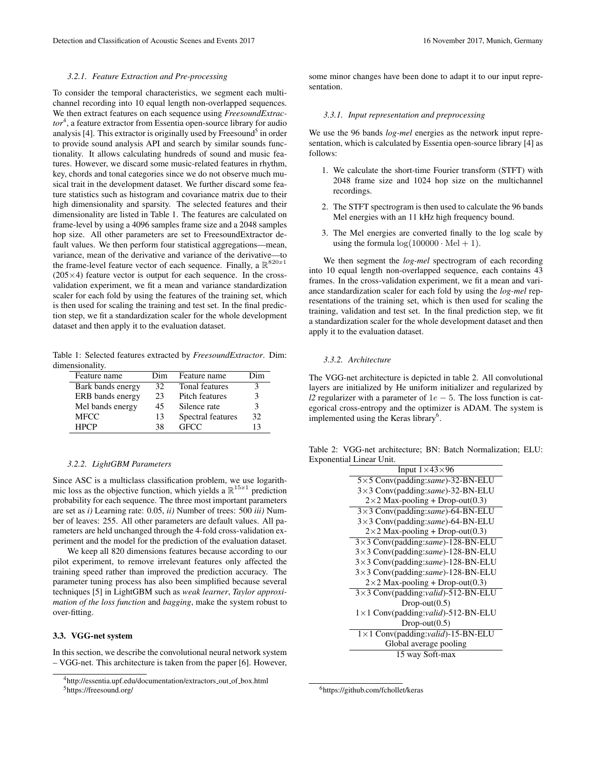## *3.2.1. Feature Extraction and Pre-processing*

To consider the temporal characteristics, we segment each multichannel recording into 10 equal length non-overlapped sequences. We then extract features on each sequence using *FreesoundExtractor*<sup>4</sup> , a feature extractor from Essentia open-source library for audio analysis [4]. This extractor is originally used by Freesound<sup>5</sup> in order to provide sound analysis API and search by similar sounds functionality. It allows calculating hundreds of sound and music features. However, we discard some music-related features in rhythm, key, chords and tonal categories since we do not observe much musical trait in the development dataset. We further discard some feature statistics such as histogram and covariance matrix due to their high dimensionality and sparsity. The selected features and their dimensionality are listed in Table 1. The features are calculated on frame-level by using a 4096 samples frame size and a 2048 samples hop size. All other parameters are set to FreesoundExtractor default values. We then perform four statistical aggregations—mean, variance, mean of the derivative and variance of the derivative—to the frame-level feature vector of each sequence. Finally, a  $\mathbb{R}^{820x1}$  $(205\times4)$  feature vector is output for each sequence. In the crossvalidation experiment, we fit a mean and variance standardization scaler for each fold by using the features of the training set, which is then used for scaling the training and test set. In the final prediction step, we fit a standardization scaler for the whole development dataset and then apply it to the evaluation dataset.

Table 1: Selected features extracted by *FreesoundExtractor*. Dim: dimensionality.

| Feature name      | Dim | Feature name      | Dim |
|-------------------|-----|-------------------|-----|
| Bark bands energy | 32  | Tonal features    | 3   |
| ERB bands energy  | 23  | Pitch features    | 3   |
| Mel bands energy  | 45  | Silence rate      | 3   |
| <b>MFCC</b>       | 13  | Spectral features | 32  |
| <b>HPCP</b>       | 38  | <b>GECC</b>       | 13  |

#### *3.2.2. LightGBM Parameters*

Since ASC is a multiclass classification problem, we use logarithmic loss as the objective function, which yields a  $\mathbb{R}^{15x1}$  prediction probability for each sequence. The three most important parameters are set as *i)* Learning rate: 0.05, *ii)* Number of trees: 500 *iii)* Number of leaves: 255. All other parameters are default values. All parameters are held unchanged through the 4-fold cross-validation experiment and the model for the prediction of the evaluation dataset.

We keep all 820 dimensions features because according to our pilot experiment, to remove irrelevant features only affected the training speed rather than improved the prediction accuracy. The parameter tuning process has also been simplified because several techniques [5] in LightGBM such as *weak learner*, *Taylor approximation of the loss function* and *bagging*, make the system robust to over-fitting.

## 3.3. VGG-net system

In this section, we describe the convolutional neural network system – VGG-net. This architecture is taken from the paper [6]. However, some minor changes have been done to adapt it to our input representation.

## *3.3.1. Input representation and preprocessing*

We use the 96 bands *log-mel* energies as the network input representation, which is calculated by Essentia open-source library [4] as follows:

- 1. We calculate the short-time Fourier transform (STFT) with 2048 frame size and 1024 hop size on the multichannel recordings.
- 2. The STFT spectrogram is then used to calculate the 96 bands Mel energies with an 11 kHz high frequency bound.
- 3. The Mel energies are converted finally to the log scale by using the formula  $\log(100000 \cdot \text{Mel} + 1)$ .

We then segment the *log-mel* spectrogram of each recording into 10 equal length non-overlapped sequence, each contains 43 frames. In the cross-validation experiment, we fit a mean and variance standardization scaler for each fold by using the *log-mel* representations of the training set, which is then used for scaling the training, validation and test set. In the final prediction step, we fit a standardization scaler for the whole development dataset and then apply it to the evaluation dataset.

## *3.3.2. Architecture*

The VGG-net architecture is depicted in table 2. All convolutional layers are initialized by He uniform initializer and regularized by *l2* regularizer with a parameter of  $1e - 5$ . The loss function is categorical cross-entropy and the optimizer is ADAM. The system is implemented using the Keras library<sup>6</sup>.

Table 2: VGG-net architecture; BN: Batch Normalization; ELU: Exponential Linear Unit.

| Input $1 \times 43 \times 96$           |  |  |  |  |
|-----------------------------------------|--|--|--|--|
| 5×5 Conv(padding:same)-32-BN-ELU        |  |  |  |  |
| 3×3 Conv(padding:same)-32-BN-ELU        |  |  |  |  |
| $2\times2$ Max-pooling + Drop-out(0.3)  |  |  |  |  |
| 3×3 Conv(padding:same)-64-BN-ELU        |  |  |  |  |
| 3×3 Conv(padding:same)-64-BN-ELU        |  |  |  |  |
| $2\times2$ Max-pooling + Drop-out(0.3)  |  |  |  |  |
| 3×3 Conv(padding:same)-128-BN-ELU       |  |  |  |  |
| 3×3 Conv(padding:same)-128-BN-ELU       |  |  |  |  |
| 3×3 Conv(padding:same)-128-BN-ELU       |  |  |  |  |
| 3×3 Conv(padding:same)-128-BN-ELU       |  |  |  |  |
| $2\times 2$ Max-pooling + Drop-out(0.3) |  |  |  |  |
| 3×3 Conv(padding:valid)-512-BN-ELU      |  |  |  |  |
| $Drop-out(0.5)$                         |  |  |  |  |
| 1×1 Conv(padding:valid)-512-BN-ELU      |  |  |  |  |
| $Drop-out(0.5)$                         |  |  |  |  |
| 1×1 Conv(padding:valid)-15-BN-ELU       |  |  |  |  |
| Global average pooling                  |  |  |  |  |
| 15 way Soft-max                         |  |  |  |  |

<sup>6</sup>https://github.com/fchollet/keras

<sup>4</sup>http://essentia.upf.edu/documentation/extractors out of box.html <sup>5</sup>https://freesound.org/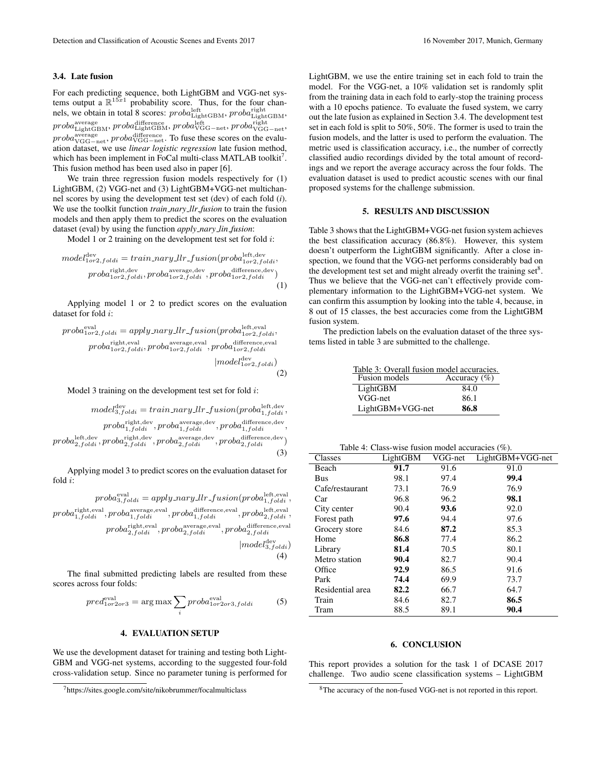#### 3.4. Late fusion

For each predicting sequence, both LightGBM and VGG-net systems output a  $\mathbb{R}^{15x1}$  probability score. Thus, for the four channels, we obtain in total 8 scores:  $probal_{\text{LightGBM}}^{left}$ ,  $probal_{\text{LightGBM}}^{right}$ ,  $\mathit{proba}^{\text{average}}_{\text{LightGBM}}, \mathit{proba}^{\text{difference}}_{\text{LightGBM}}, \mathit{proba}^{\text{left}}_{\text{VGG-net}}, \mathit{proba}^{\text{right}}_{\text{VGG-net}},$  $proba_{\text{VGG-net}}^{\text{average}}, proba_{\text{VGG-net}}^{\text{difference}}$ . To fuse these scores on the evaluation dataset, we use *linear logistic regression* late fusion method, which has been implement in FoCal multi-class MATLAB toolkit<sup>7</sup>. This fusion method has been used also in paper [6].

We train three regression fusion models respectively for (1) LightGBM, (2) VGG-net and (3) LightGBM+VGG-net multichannel scores by using the development test set (dev) of each fold (*i*). We use the toolkit function *train nary llr fusion* to train the fusion models and then apply them to predict the scores on the evaluation dataset (eval) by using the function *apply nary lin fusion*:

Model 1 or 2 training on the development test set for fold  $i$ :

$$
model_{1 or 2, foldi}^{\text{dev}} = train\_nary\_llr\_fusion (prob_{1 or 2, foldi}^{\text{left}, \text{dev}}, \newline prob_{1 or 2, foldi}, prob_{1 or 2, foldi}, prob_{1 or 2, foldi}, prob_{1 or 2, foldi})
$$
\n(1)

Applying model 1 or 2 to predict scores on the evaluation dataset for fold i:

$$
prob a_{1 or 2, foldi}^{eval} = apply_{nary\_llr\_fusion}(prob a_{1 or 2, foldi}^{left, eval}, \nprob a_{1 or 2, foldi}^{right, eval}, \nprob a_{1 or 2, foldi}^{right, eval}, \nprob a_{1 or 2, foldi}^{inr}, prob a_{1 or 2, foldi}^{right}, \n| model_{1 or 2, foldi}^{dev})
$$
\n
$$
(2)
$$

Model 3 training on the development test set for fold  $i$ :

$$
model_{3,foldi}^{\text{dev}} = train.nary\_llr\_fusion (proba_{1,foldi}^{\text{left},\text{dev}},\nproba_{1,foldi}^{\text{right},\text{dev}},\nproba_{1,foldi}^{\text{average},\text{dev}},\nproba_{1,foldi}^{\text{difference},\text{dev}},\nproba_{2,foldi}^{\text{left},\text{dev}},\nproba_{2,foldi}^{\text{right},\text{dev}},\nproba_{2,foldi}^{\text{average},\text{dev}},\nproba_{2,foldi}^{\text{difference},\text{dev}})
$$
\n(3)

Applying model 3 to predict scores on the evaluation dataset for fold i:

$$
prob^{eval}_{a,foldi} = apply\_nary\_llr\_fusion (prob^{left, eval}_{1,foldi}, prob^{right}_{1,foldi}, prob^{right}_{1,foldi}, prob^{output}_{1,foldi}, prob^{right, eval}_{2,foldi}, prob^{output, eval}_{2,foldi}, prob^{output, eval}_{2,foldi}, prob^{average, eval}_{2,foldi}, prob^{afterence, eval}_{2,foldi}
$$
\n
$$
[model^{adv}_{3,foldi}]
$$
\n
$$
(4)
$$

The final submitted predicting labels are resulted from these scores across four folds:

$$
pred_{1or2or3}^{\text{eval}} = \arg \max \sum_{i} proba_{1or2or3, foldi}^{\text{eval}} \tag{5}
$$

#### 4. EVALUATION SETUP

We use the development dataset for training and testing both Light-GBM and VGG-net systems, according to the suggested four-fold cross-validation setup. Since no parameter tuning is performed for

<sup>7</sup>https://sites.google.com/site/nikobrummer/focalmulticlass

LightGBM, we use the entire training set in each fold to train the model. For the VGG-net, a 10% validation set is randomly split from the training data in each fold to early-stop the training process with a 10 epochs patience. To evaluate the fused system, we carry out the late fusion as explained in Section 3.4. The development test set in each fold is split to 50%, 50%. The former is used to train the fusion models, and the latter is used to perform the evaluation. The metric used is classification accuracy, i.e., the number of correctly classified audio recordings divided by the total amount of recordings and we report the average accuracy across the four folds. The evaluation dataset is used to predict acoustic scenes with our final proposed systems for the challenge submission.

# 5. RESULTS AND DISCUSSION

Table 3 shows that the LightGBM+VGG-net fusion system achieves the best classification accuracy (86.8%). However, this system doesn't outperform the LightGBM significantly. After a close inspection, we found that the VGG-net performs considerably bad on the development test set and might already overfit the training  $set$ <sup>8</sup>. Thus we believe that the VGG-net can't effectively provide complementary information to the LightGBM+VGG-net system. We can confirm this assumption by looking into the table 4, because, in 8 out of 15 classes, the best accuracies come from the LightGBM fusion system.

The prediction labels on the evaluation dataset of the three systems listed in table 3 are submitted to the challenge.

Table 3: Overall fusion model accuracies.<br>Fusion models Accuracy (%)  $\overline{\text{Accuracy}}$  (%) LightGBM 84.0 VGG-net 86.1 LightGBM+VGG-net 86.8

| Classes          | LightGBM | VGG-net | LightGBM+VGG-net |
|------------------|----------|---------|------------------|
| Beach            | 91.7     | 91.6    | 91.0             |
| Bus              | 98.1     | 97.4    | 99.4             |
| Cafe/restaurant  | 73.1     | 76.9    | 76.9             |
| Car              | 96.8     | 96.2    | 98.1             |
| City center      | 90.4     | 93.6    | 92.0             |
| Forest path      | 97.6     | 94.4    | 97.6             |
| Grocery store    | 84.6     | 87.2    | 85.3             |
| Home             | 86.8     | 77.4    | 86.2             |
| Library          | 81.4     | 70.5    | 80.1             |
| Metro station    | 90.4     | 82.7    | 90.4             |
| Office           | 92.9     | 86.5    | 91.6             |
| Park             | 74.4     | 69.9    | 73.7             |
| Residential area | 82.2     | 66.7    | 64.7             |
| Train            | 84.6     | 82.7    | 86.5             |
| Tram             | 88.5     | 89.1    | 90.4             |

## 6. CONCLUSION

This report provides a solution for the task 1 of DCASE 2017 challenge. Two audio scene classification systems – LightGBM

<sup>8</sup>The accuracy of the non-fused VGG-net is not reported in this report.